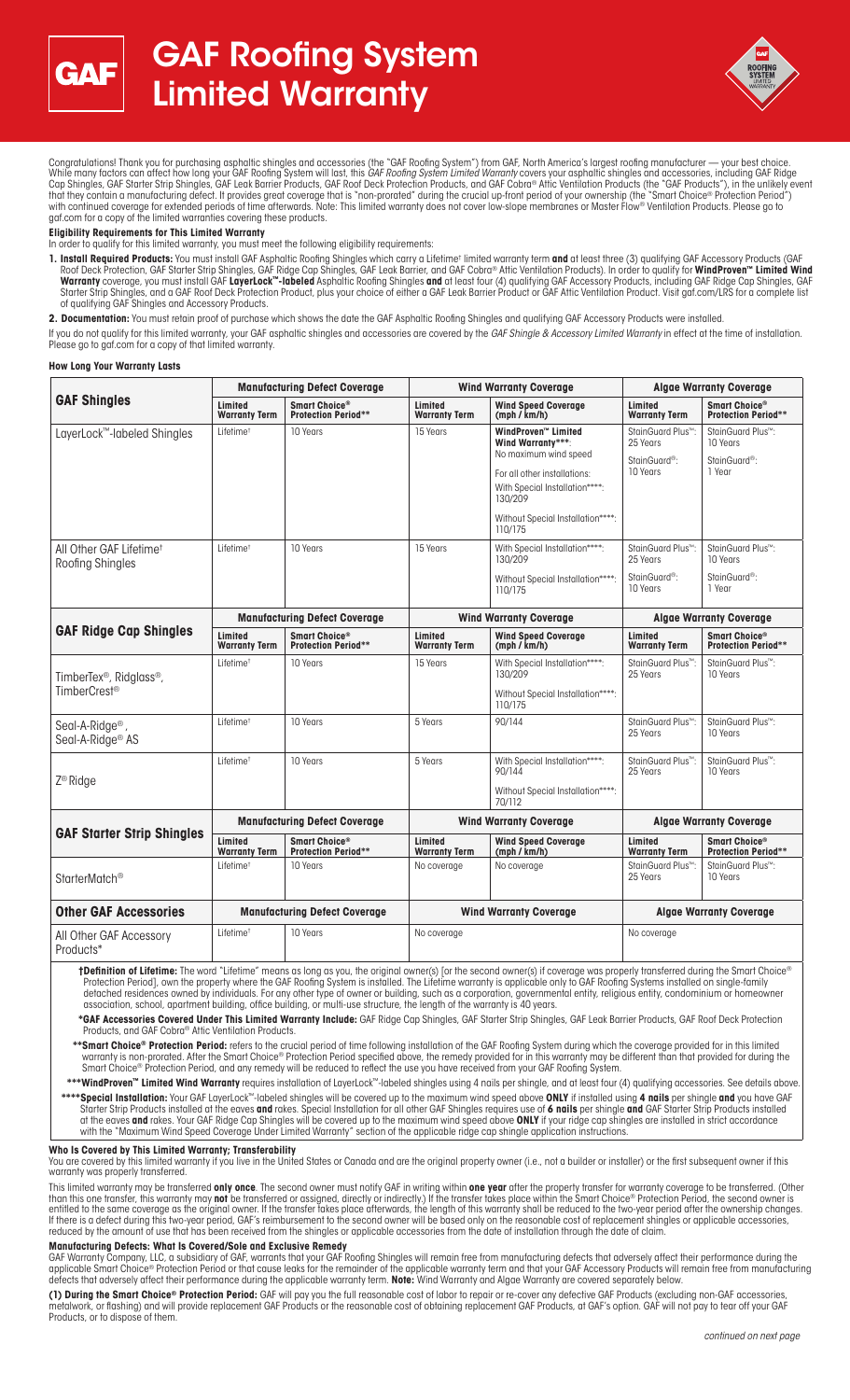



Congratulations! Thank you for purchasing asphaltic shingles and accessories (the "GAF Roofing System") from GAF, North America's largest roofing manufacturer — your best choice. While many factors can affect how long your GAF Roofing System will last, this *GAF Roofing System Limited Warranty* covers your asphaltic shingles and accessories, including GAF Ridge<br>Cap Shingles, GAF Starter Strip Shing that they contain a manufacturing defect. It provides great coverage that is "non-prorated" during the crucial up-front period of your ownership (the "Smart Choice® Protection Period") with continued coverage for extended periods of time afterwards. Note: This limited warranty does not cover low-slope membranes or Master Flow® Ventilation Products. Please go to gaf.com for a copy of the limited warranties covering these products.

# **Eligibility Requirements for This Limited Warranty**

In order to qualify for this limited warranty, you must meet the following eligibility requirements:

1. Install Required Products: You must install GAF Asphaltic Roofing Shingles which carry a Lifetime<sup>t</sup> limited warranty term and at least three (3) qualifying GAF Accessory Products (GAF Roof Deck Protection, GAF Starter Strip Shingles, GAF Ridge Cap Shingles, GAF Leak Barrier, and GAF Cobra® Attic Ventilation Products). In order to qualify for **WindProven™ Limited Wind Warranty** coverage, you must install GAF **LayerLock™-labeled** Asphaltic Roofing Shingles **and** at least four (4) qualifying GAF Accessory Products, including GAF Ridge Cap Shingles, GAF Starter Strip Shingles, and a GAF Roof Deck Protection Product, plus your choice of either a GAF Leak Barrier Product or GAF Attic Ventilation Product. Visit gaf.com/LRS for a complete list of qualifying GAF Shingles and Accessory Products.

**2. Documentation:** You must retain proof of purchase which shows the date the GAF Asphaltic Roofing Shingles and qualifying GAF Accessory Products were installed.

If you do not qualify for this limited warranty, your GAF asphaltic shingles and accessories are covered by the *GAF Shingle & Accessory Limited Warranty* in effect at the time of installation.<br>Please go to gaf.com for a c

#### **How Long Your Warranty Lasts**

| <b>GAF Shingles</b>                                                                                                                                                                                                                                                                                                                                                 | <b>Manufacturing Defect Coverage</b> |                                             | <b>Wind Warranty Coverage</b>   |                                                                                                                                                                                                             | <b>Algae Warranty Coverage</b>                                                      |                                                                                   |
|---------------------------------------------------------------------------------------------------------------------------------------------------------------------------------------------------------------------------------------------------------------------------------------------------------------------------------------------------------------------|--------------------------------------|---------------------------------------------|---------------------------------|-------------------------------------------------------------------------------------------------------------------------------------------------------------------------------------------------------------|-------------------------------------------------------------------------------------|-----------------------------------------------------------------------------------|
|                                                                                                                                                                                                                                                                                                                                                                     | Limited<br><b>Warranty Term</b>      | Smart Choice®<br><b>Protection Period**</b> | Limited<br><b>Warranty Term</b> | <b>Wind Speed Coverage</b><br>(mph / km/h)                                                                                                                                                                  | Limited<br><b>Warranty Term</b>                                                     | Smart Choice®<br><b>Protection Period**</b>                                       |
| LayerLock™-labeled Shingles                                                                                                                                                                                                                                                                                                                                         | Lifetime <sup>t</sup>                | 10 Years                                    | 15 Years                        | WindProven <sup>**</sup> Limited<br>Wind Warranty***:<br>No maximum wind speed<br>For all other installations:<br>With Special Installation****:<br>130/209<br>Without Special Installation****:<br>110/175 | StainGuard Plus <sup>™</sup> :<br>25 Years<br>StainGuard <sup>®</sup> :<br>10 Years | StainGuard Plus <sup>™</sup> :<br>10 Years<br>StainGuard <sup>®</sup> :<br>1 Year |
| All Other GAF Lifetime <sup>t</sup><br>Roofing Shingles                                                                                                                                                                                                                                                                                                             | Lifetime <sup>t</sup>                | 10 Years                                    | 15 Years                        | With Special Installation****:<br>130/209<br>Without Special Installation****:<br>110/175                                                                                                                   | StainGuard Plus™:<br>25 Years<br>StainGuard <sup>®</sup> :<br>10 Years              | StainGuard Plus <sup>™</sup> :<br>10 Years<br>StainGuard <sup>®</sup> :<br>1 Year |
| <b>GAF Ridge Cap Shingles</b>                                                                                                                                                                                                                                                                                                                                       | <b>Manufacturing Defect Coverage</b> |                                             | <b>Wind Warranty Coverage</b>   |                                                                                                                                                                                                             | <b>Algae Warranty Coverage</b>                                                      |                                                                                   |
|                                                                                                                                                                                                                                                                                                                                                                     | Limited<br><b>Warranty Term</b>      | Smart Choice®<br><b>Protection Period**</b> | Limited<br><b>Warranty Term</b> | <b>Wind Speed Coverage</b><br>(mph / km/h)                                                                                                                                                                  | Limited<br><b>Warranty Term</b>                                                     | Smart Choice®<br><b>Protection Period**</b>                                       |
| TimberTex <sup>®</sup> , Ridglass <sup>®</sup> ,<br>TimberCrest <sup>®</sup>                                                                                                                                                                                                                                                                                        | Lifetime <sup>+</sup>                | 10 Years                                    | 15 Years                        | With Special Installation****:<br>130/209<br>Without Special Installation****:<br>110/175                                                                                                                   | StainGuard Plus <sup>™</sup> :<br>25 Years                                          | StainGuard Plus <sup>™</sup> :<br>10 Years                                        |
| Seal-A-Ridge <sup>®</sup> ,<br>Seal-A-Ridge <sup>®</sup> AS                                                                                                                                                                                                                                                                                                         | Lifetime <sup>t</sup>                | 10 Years                                    | 5 Years                         | 90/144                                                                                                                                                                                                      | StainGuard Plus <sup>™</sup> :<br>25 Years                                          | StainGuard Plus <sup>™</sup> :<br>10 Years                                        |
| Z <sup>®</sup> Ridge                                                                                                                                                                                                                                                                                                                                                | Lifetime <sup>t</sup>                | 10 Years                                    | 5 Years                         | With Special Installation****:<br>90/144<br>Without Special Installation****:<br>70/112                                                                                                                     | StainGuard Plus <sup>™</sup> :<br>25 Years                                          | StainGuard Plus <sup>™</sup> :<br>10 Years                                        |
| <b>GAF Starter Strip Shingles</b>                                                                                                                                                                                                                                                                                                                                   | <b>Manufacturing Defect Coverage</b> |                                             | <b>Wind Warranty Coverage</b>   |                                                                                                                                                                                                             | <b>Algae Warranty Coverage</b>                                                      |                                                                                   |
|                                                                                                                                                                                                                                                                                                                                                                     | Limited<br><b>Warranty Term</b>      | Smart Choice®<br><b>Protection Period**</b> | Limited<br><b>Warranty Term</b> | <b>Wind Speed Coverage</b><br>(mph / km/h)                                                                                                                                                                  | Limited<br><b>Warranty Term</b>                                                     | Smart Choice®<br><b>Protection Period**</b>                                       |
| StarterMatch <sup>®</sup>                                                                                                                                                                                                                                                                                                                                           | Lifetime <sup>+</sup>                | 10 Years                                    | No coverage                     | No coverage                                                                                                                                                                                                 | StainGuard Plus <sup>™</sup> :<br>25 Years                                          | StainGuard Plus <sup>™</sup> :<br>10 Years                                        |
| <b>Other GAF Accessories</b>                                                                                                                                                                                                                                                                                                                                        | <b>Manufacturing Defect Coverage</b> |                                             | <b>Wind Warranty Coverage</b>   |                                                                                                                                                                                                             | <b>Algae Warranty Coverage</b>                                                      |                                                                                   |
| All Other GAF Accessory<br>Products*                                                                                                                                                                                                                                                                                                                                | Lifetime <sup>t</sup>                | 10 Years                                    | No coverage                     |                                                                                                                                                                                                             | No coverage                                                                         |                                                                                   |
| <b>†Definition of Lifetime:</b> The word "Lifetime" means as long as you, the original owner(s) [or the second owner(s) if coverage was properly transferred during the Smart Choice®<br>Protection Period], own the property where the GAE Roofing System is installed. The Lifetime warranty is applicable only to GAE Roofing Systems installed on single-family |                                      |                                             |                                 |                                                                                                                                                                                                             |                                                                                     |                                                                                   |

Protection Period], own the property where the GAF Roofing System is installed. The Lifetime warranty is applicable only to GAF Roofing Systems installed on single-family detached residences owned by individuals. For any other type of owner or building, such as a corporation, governmental entity, religious entity, condominium or homeowner association, school, apartment building, office building, or multi-use structure, the length of the warranty is 40 years.

 **\*GAF Accessories Covered Under This Limited Warranty Include:** GAF Ridge Cap Shingles, GAF Starter Strip Shingles, GAF Leak Barrier Products, GAF Roof Deck Protection Products, and GAF Cobra® Attic Ventilation Products.

\*\*Smart Choice® Protection Period: refers to the crucial period of time following installation of the GAF Roofing System during which the coverage provided for in this limited warranty is non-prorated. After the Smart Choice® Protection Period specified above, the remedy provided for in this warranty may be different than that provided for during the Smart Choice® Protection Period, and any remedy will be reduced to reflect the use you have received from your GAF Roofing System.

**\*\*\*WindProven™ Limited Wind Warranty** requires installation of LayerLock™-labeled shingles using 4 nails per shingle, and at least four (4) qualifying accessories. See details above  **\*\*\*\*Special Installation:** Your GAF LayerLock™-labeled shingles will be covered up to the maximum wind speed above **ONLY** if installed using **4 nails** per shingle **and** you have GAF Starter Strip Products installed at the eaves **and** rakes. Special Installation for all other GAF Shingles requires use of **6 nails** per shingle **and** GAF Starter Strip Products installed at the eaves **and** rakes. Your GAF Ridge Cap Shingles will be covered up to the maximum wind speed above **ONLY** if your ridge cap shingles are installed in strict accordance with the "Maximum Wind Speed Coverage Under Limited Warranty" section of the applicable ridge cap shingle application instructions.

# **Who Is Covered by This Limited Warranty; Transferability**

You are covered by this limited warranty if you live in the United States or Canada and are the original property owner (i.e., not a builder or installer) or the first subsequent owner if this warranty was properly transferred.

This limited warranty may be transferred **only once**. The second owner must notify GAF in writing within **one year** after the property transfer for warranty coverage to be transferred. (Other than this one transfer, this warranty may **not** be transferred or assigned, directly or indirectly.) If the transfer takes place within the Smart Choice® Protection Period, the second owner is entitled to the same coverage as the original owner. If the transfer takes place afterwards, the length of this warranty shall be reduced to the two-year period after the ownership changes. If there is a defect during this two-year period, GAF's reimbursement to the second owner will be based only on the reasonable cost of replacement shingles or applicable accessories, reduced by the amount of use that has been received from the shingles or applicable accessories from the date of installation through the date of claim.

#### **Manufacturing Defects: What Is Covered/Sole and Exclusive Remedy**

GAF Warranty Company, LLC, a subsidiary of GAF, warrants that your GAF Roofing Shingles will remain free from manufacturing defects that adversely affect their performance during the<br>applicable Smart Choice® Protection Per

**(1) During the Smart Choice® Protection Period:** GAF will pay you the full reasonable cost of labor to repair or re-cover any defective GAF Products (excluding non-GAF accessories, metalwork, or flashing) and will provide replacement GAF Products or the reasonable cost of obtaining replacement GAF Products, at GAF's option. GAF will not pay to tear off your GAF Products, or to dispose of them.